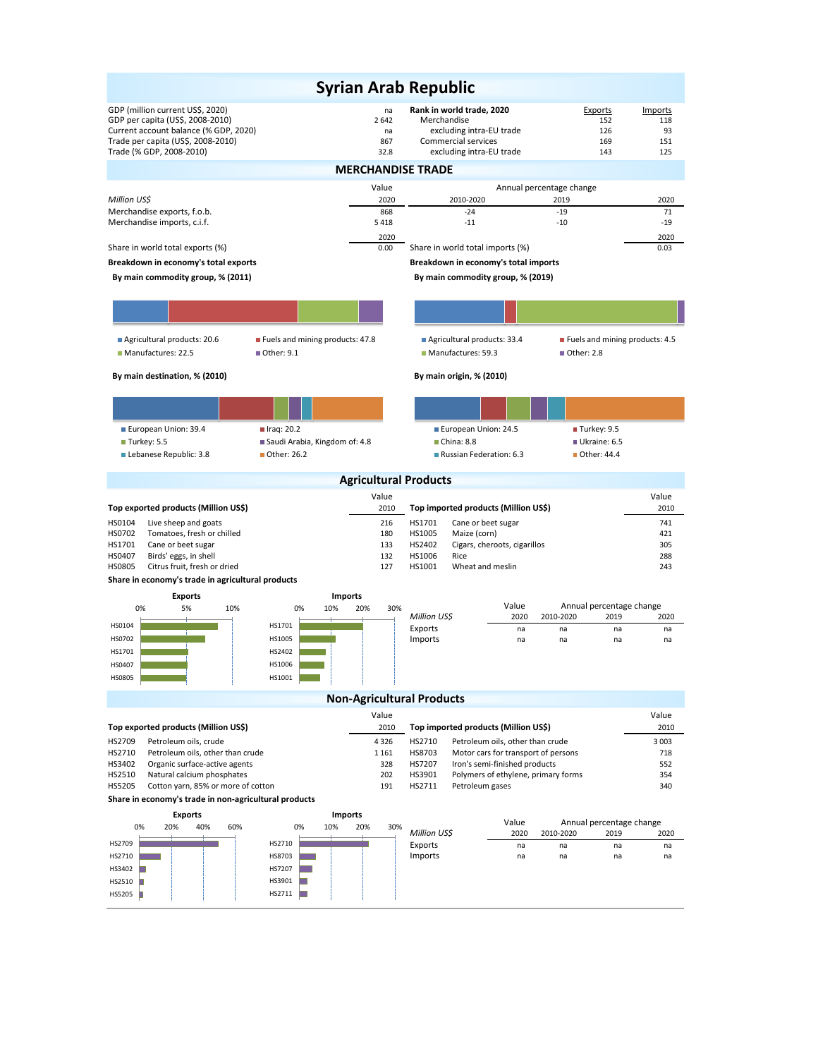|                                                                                             |                   | <b>Syrian Arab Republic</b>                                                        |                                               |                |  |  |  |  |  |  |  |
|---------------------------------------------------------------------------------------------|-------------------|------------------------------------------------------------------------------------|-----------------------------------------------|----------------|--|--|--|--|--|--|--|
|                                                                                             |                   |                                                                                    |                                               |                |  |  |  |  |  |  |  |
| GDP (million current US\$, 2020)<br>GDP per capita (US\$, 2008-2010)                        | na<br>2642        | Rank in world trade, 2020<br>Merchandise                                           | Exports<br>152                                | Imports<br>118 |  |  |  |  |  |  |  |
| Current account balance (% GDP, 2020)                                                       | na                | excluding intra-EU trade                                                           | 126                                           | 93             |  |  |  |  |  |  |  |
| Trade per capita (US\$, 2008-2010)<br>Trade (% GDP, 2008-2010)                              | 867<br>32.8       | Commercial services<br>excluding intra-EU trade                                    | 169<br>143                                    | 151<br>125     |  |  |  |  |  |  |  |
|                                                                                             |                   |                                                                                    |                                               |                |  |  |  |  |  |  |  |
| <b>MERCHANDISE TRADE</b><br>Annual percentage change<br>Value                               |                   |                                                                                    |                                               |                |  |  |  |  |  |  |  |
| Million US\$                                                                                | 2020              | 2010-2020                                                                          | 2019                                          | 2020           |  |  |  |  |  |  |  |
| Merchandise exports, f.o.b.                                                                 | 868               | $-24$                                                                              | $-19$                                         | 71             |  |  |  |  |  |  |  |
| Merchandise imports, c.i.f.                                                                 | 5418              | $-11$                                                                              | $-10$                                         | $-19$          |  |  |  |  |  |  |  |
| Share in world total exports (%)                                                            | 2020<br>0.00      | Share in world total imports (%)                                                   |                                               | 2020<br>0.03   |  |  |  |  |  |  |  |
| Breakdown in economy's total exports                                                        |                   | Breakdown in economy's total imports                                               |                                               |                |  |  |  |  |  |  |  |
| By main commodity group, % (2011)                                                           |                   | By main commodity group, % (2019)                                                  |                                               |                |  |  |  |  |  |  |  |
|                                                                                             |                   |                                                                                    |                                               |                |  |  |  |  |  |  |  |
|                                                                                             |                   |                                                                                    |                                               |                |  |  |  |  |  |  |  |
| Agricultural products: 20.6<br>Fuels and mining products: 47.8                              |                   | Agricultural products: 33.4                                                        | ■ Fuels and mining products: 4.5              |                |  |  |  |  |  |  |  |
| Manufactures: 22.5<br>■ Other: 9.1                                                          |                   | Manufactures: 59.3                                                                 | ■ Other: 2.8                                  |                |  |  |  |  |  |  |  |
| By main destination, % (2010)                                                               |                   | By main origin, % (2010)                                                           |                                               |                |  |  |  |  |  |  |  |
|                                                                                             |                   |                                                                                    |                                               |                |  |  |  |  |  |  |  |
|                                                                                             |                   |                                                                                    |                                               |                |  |  |  |  |  |  |  |
| European Union: 39.4<br>$l$ Iraq: 20.2<br>Turkey: 5.5<br>Saudi Arabia, Kingdom of: 4.8      |                   | European Union: 24.5<br>China: 8.8                                                 | ■ Turkey: 9.5<br>Ukraine: 6.5                 |                |  |  |  |  |  |  |  |
| Lebanese Republic: 3.8<br>■ Other: 26.2                                                     |                   | Russian Federation: 6.3                                                            | ■ Other: 44.4                                 |                |  |  |  |  |  |  |  |
|                                                                                             |                   |                                                                                    |                                               |                |  |  |  |  |  |  |  |
|                                                                                             |                   | <b>Agricultural Products</b>                                                       |                                               |                |  |  |  |  |  |  |  |
|                                                                                             | Value             |                                                                                    |                                               |                |  |  |  |  |  |  |  |
|                                                                                             |                   |                                                                                    |                                               | Value          |  |  |  |  |  |  |  |
| Top exported products (Million US\$)<br>HS0104                                              | 2010<br>216       | Top imported products (Million US\$)<br>HS1701                                     |                                               | 2010<br>741    |  |  |  |  |  |  |  |
| Live sheep and goats<br>HS0702<br>Tomatoes, fresh or chilled                                | 180               | Cane or beet sugar<br>HS1005<br>Maize (corn)                                       |                                               | 421            |  |  |  |  |  |  |  |
| HS1701<br>Cane or beet sugar                                                                | 133               | HS2402<br>Cigars, cheroots, cigarillos                                             |                                               | 305            |  |  |  |  |  |  |  |
| HS0407<br>Birds' eggs, in shell<br>HS0805<br>Citrus fruit, fresh or dried                   | 132<br>127        | Rice<br>HS1006<br>HS1001<br>Wheat and meslin                                       |                                               | 288<br>243     |  |  |  |  |  |  |  |
| Share in economy's trade in agricultural products                                           |                   |                                                                                    |                                               |                |  |  |  |  |  |  |  |
| <b>Exports</b>                                                                              | <b>Imports</b>    |                                                                                    |                                               |                |  |  |  |  |  |  |  |
| 0%<br>5%<br>10%<br>0%                                                                       | 10%<br>20%<br>30% | Value                                                                              | Annual percentage change                      |                |  |  |  |  |  |  |  |
| HS0104<br>HS1701                                                                            |                   | Million US\$<br>2020<br>Exports<br>na                                              | 2010-2020<br>2019<br>na<br>na                 | 2020<br>na     |  |  |  |  |  |  |  |
| HS0702<br>HS1005                                                                            |                   | Imports<br>na                                                                      | na<br>na                                      | na             |  |  |  |  |  |  |  |
| HS2402<br>HS1701                                                                            |                   |                                                                                    |                                               |                |  |  |  |  |  |  |  |
| HS1006<br><b>HS0407</b>                                                                     |                   |                                                                                    |                                               |                |  |  |  |  |  |  |  |
| HS0805<br>HS1001                                                                            |                   |                                                                                    |                                               |                |  |  |  |  |  |  |  |
|                                                                                             |                   | <b>Non-Agricultural Products</b>                                                   |                                               |                |  |  |  |  |  |  |  |
|                                                                                             | Value<br>2010     |                                                                                    |                                               | Value<br>2010  |  |  |  |  |  |  |  |
| Top exported products (Million US\$)<br>HS2709<br>Petroleum oils, crude                     | 4 3 2 6           | Top imported products (Million US\$)<br>HS2710<br>Petroleum oils, other than crude |                                               | 3 0 0 3        |  |  |  |  |  |  |  |
| HS2710<br>Petroleum oils, other than crude                                                  | 1 1 6 1           | HS8703<br>Motor cars for transport of persons                                      |                                               | 718            |  |  |  |  |  |  |  |
| HS3402<br>Organic surface-active agents                                                     | 328               | HS7207<br>Iron's semi-finished products                                            |                                               | 552            |  |  |  |  |  |  |  |
| HS2510<br>Natural calcium phosphates<br><b>HS5205</b><br>Cotton yarn, 85% or more of cotton | 202<br>191        | HS3901<br>Polymers of ethylene, primary forms<br>HS2711<br>Petroleum gases         |                                               | 354<br>340     |  |  |  |  |  |  |  |
| Share in economy's trade in non-agricultural products                                       |                   |                                                                                    |                                               |                |  |  |  |  |  |  |  |
| <b>Exports</b>                                                                              | <b>Imports</b>    |                                                                                    |                                               |                |  |  |  |  |  |  |  |
| 0%<br>20%<br>40%<br>60%<br>0%                                                               | 10%<br>20%<br>30% | Value<br>Million US\$<br>2020                                                      | Annual percentage change<br>2010-2020<br>2019 | 2020           |  |  |  |  |  |  |  |
| HS2710<br>HS2709                                                                            |                   | Exports<br>na                                                                      | na<br>na                                      | na             |  |  |  |  |  |  |  |
| HS8703<br>HS2710                                                                            |                   | Imports<br>na                                                                      | na<br>na                                      | na             |  |  |  |  |  |  |  |
| HS7207<br>HS3402                                                                            |                   |                                                                                    |                                               |                |  |  |  |  |  |  |  |
| HS3901<br>HS2510<br>HS2711<br>HS5205                                                        |                   |                                                                                    |                                               |                |  |  |  |  |  |  |  |